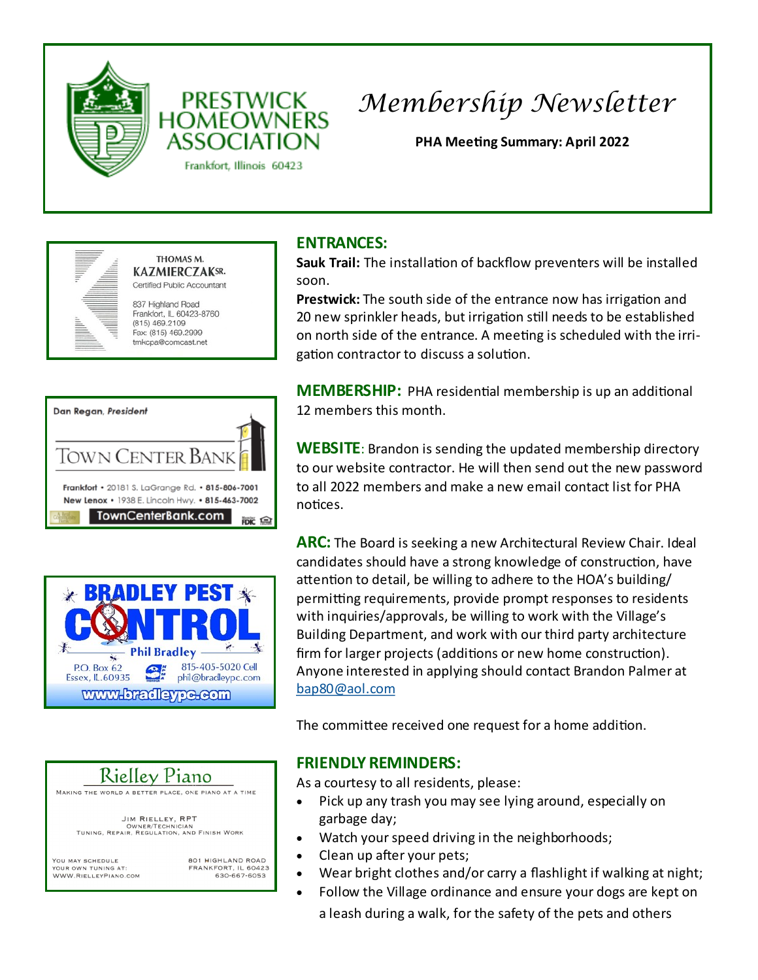



# *Membership Newsletter*

**PHA Meeting Summary: April 2022**



THOMAS M. **KAZMIERCZAKSR.** Certified Public Accountant

837 Highland Road Frankfort, IL 60423-8760  $(815)$  469.2109 Fax: (815) 469.2999 tmkcpa@comcast.net

| Dan Regan, President                                                                                |
|-----------------------------------------------------------------------------------------------------|
|                                                                                                     |
| TOWN CENTER BANK                                                                                    |
| Frankfort • 20181 S. LaGrange Rd. • 815-806-7001<br>New Lenox • 1938 E. Lincoln Hwy. • 815-463-7002 |
| <b>TownCenterBank.com</b>                                                                           |





**JIM RIELLEY, RPT** OWNER/TECHNICIAN<br>TUNING, REPAIR, REGULATION, AND FINISH WORK

YOU MAY SCHEDULE YOUR OWN TUNING AT: WWW.RIELLEYPIANO.COM 801 HIGHLAND ROAD FRANKFORT, IL 60423 630-667-6053

### **ENTRANCES:**

**Sauk Trail:** The installation of backflow preventers will be installed soon.

**Prestwick:** The south side of the entrance now has irrigation and 20 new sprinkler heads, but irrigation still needs to be established on north side of the entrance. A meeting is scheduled with the irrigation contractor to discuss a solution.

**MEMBERSHIP:** PHA residential membership is up an additional 12 members this month.

**WEBSITE**: Brandon is sending the updated membership directory to our website contractor. He will then send out the new password to all 2022 members and make a new email contact list for PHA notices.

**ARC:** The Board is seeking a new Architectural Review Chair. Ideal candidates should have a strong knowledge of construction, have attention to detail, be willing to adhere to the HOA's building/ permitting requirements, provide prompt responses to residents with inquiries/approvals, be willing to work with the Village's Building Department, and work with our third party architecture firm for larger projects (additions or new home construction). Anyone interested in applying should contact Brandon Palmer at [bap80@aol.com](mailto:bap80@aol.com)

The committee received one request for a home addition.

#### **FRIENDLY REMINDERS:**

As a courtesy to all residents, please:

- Pick up any trash you may see lying around, especially on garbage day;
- Watch your speed driving in the neighborhoods;
- Clean up after your pets;
- Wear bright clothes and/or carry a flashlight if walking at night;
- Follow the Village ordinance and ensure your dogs are kept on
	- a leash during a walk, for the safety of the pets and others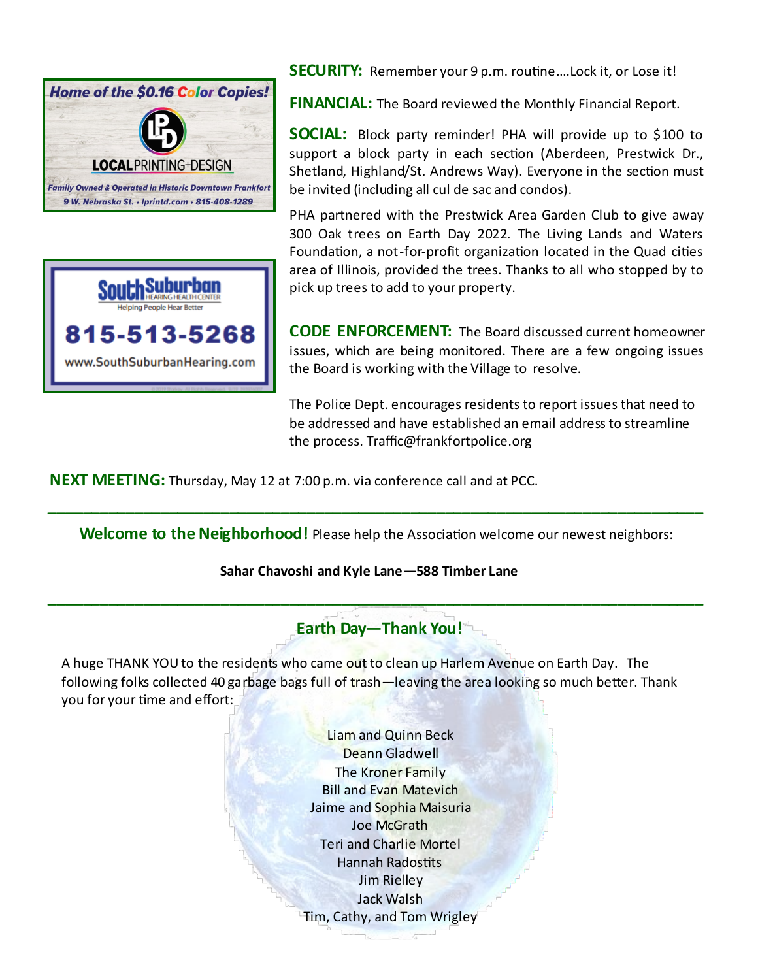



**SECURITY:** Remember your 9 p.m. routine….Lock it, or Lose it!

**FINANCIAL:** The Board reviewed the Monthly Financial Report.

**SOCIAL:** Block party reminder! PHA will provide up to \$100 to support a block party in each section (Aberdeen, Prestwick Dr., Shetland, Highland/St. Andrews Way). Everyone in the section must be invited (including all cul de sac and condos).

PHA partnered with the Prestwick Area Garden Club to give away 300 Oak trees on Earth Day 2022. The Living Lands and Waters Foundation, a not-for-profit organization located in the Quad cities area of Illinois, provided the trees. Thanks to all who stopped by to pick up trees to add to your property.

**CODE ENFORCEMENT:** The Board discussed current homeowner issues, which are being monitored. There are a few ongoing issues the Board is working with the Village to resolve.

The Police Dept. encourages residents to report issues that need to be addressed and have established an email address to streamline the process. Traffic@frankfortpolice.org

**NEXT MEETING:** Thursday, May 12 at 7:00 p.m. via conference call and at PCC.

**Welcome to the Neighborhood!** Please help the Association welcome our newest neighbors:

**\_\_\_\_\_\_\_\_\_\_\_\_\_\_\_\_\_\_\_\_\_\_\_\_\_\_\_\_\_\_\_\_\_\_\_\_\_\_\_\_\_\_\_\_\_\_\_\_\_\_\_\_\_\_\_\_\_\_\_\_\_\_\_\_\_\_\_\_\_\_\_\_\_\_\_\_**

#### **Sahar Chavoshi and Kyle Lane—588 Timber Lane**

#### **Earth Day—Thank You!**

**\_\_\_\_\_\_\_\_\_\_\_\_\_\_\_\_\_\_\_\_\_\_\_\_\_\_\_\_\_\_\_\_\_\_\_\_\_\_\_\_\_\_\_\_\_\_\_\_\_\_\_\_\_\_\_\_\_\_\_\_\_\_\_\_\_\_\_\_\_\_\_\_\_\_\_\_**

A huge THANK YOU to the residents who came out to clean up Harlem Avenue on Earth Day. The following folks collected 40 garbage bags full of trash—leaving the area looking so much better. Thank you for your time and effort:

> Liam and Quinn Beck Deann Gladwell The Kroner Family Bill and Evan Matevich Jaime and Sophia Maisuria Joe McGrath Teri and Charlie Mortel Hannah Radostits Jim Rielley Jack Walsh Tim, Cathy, and Tom Wrigley